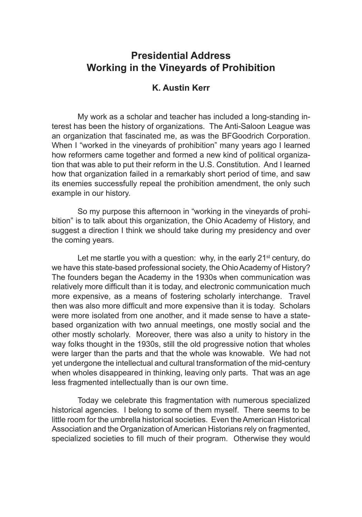## **Presidential Address Working in the Vineyards of Prohibition**

## **K. Austin Kerr**

My work as a scholar and teacher has included a long-standing interest has been the history of organizations. The Anti-Saloon League was an organization that fascinated me, as was the BFGoodrich Corporation. When I "worked in the vineyards of prohibition" many years ago I learned how reformers came together and formed a new kind of political organization that was able to put their reform in the U.S. Constitution. And I learned how that organization failed in a remarkably short period of time, and saw its enemies successfully repeal the prohibition amendment, the only such example in our history.

So my purpose this afternoon in "working in the vineyards of prohibition" is to talk about this organization, the Ohio Academy of History, and suggest a direction I think we should take during my presidency and over the coming years.

Let me startle you with a question: why, in the early  $21<sup>st</sup>$  century, do we have this state-based professional society, the Ohio Academy of History? The founders began the Academy in the 1930s when communication was relatively more difficult than it is today, and electronic communication much more expensive, as a means of fostering scholarly interchange. Travel then was also more difficult and more expensive than it is today. Scholars were more isolated from one another, and it made sense to have a statebased organization with two annual meetings, one mostly social and the other mostly scholarly. Moreover, there was also a unity to history in the way folks thought in the 1930s, still the old progressive notion that wholes were larger than the parts and that the whole was knowable. We had not yet undergone the intellectual and cultural transformation of the mid-century when wholes disappeared in thinking, leaving only parts. That was an age less fragmented intellectually than is our own time.

Today we celebrate this fragmentation with numerous specialized historical agencies. I belong to some of them myself. There seems to be little room for the umbrella historical societies. Even the American Historical Association and the Organization of American Historians rely on fragmented, specialized societies to fill much of their program. Otherwise they would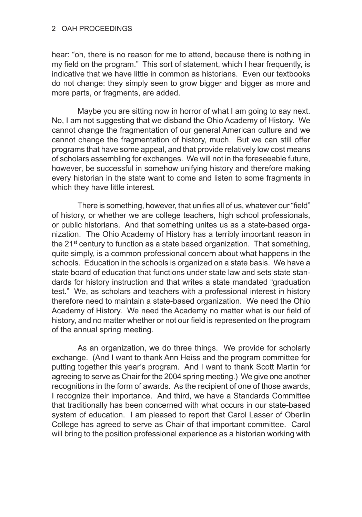hear: "oh, there is no reason for me to attend, because there is nothing in my field on the program." This sort of statement, which I hear frequently, is indicative that we have little in common as historians. Even our textbooks do not change: they simply seen to grow bigger and bigger as more and more parts, or fragments, are added.

Maybe you are sitting now in horror of what I am going to say next. No, I am not suggesting that we disband the Ohio Academy of History. We cannot change the fragmentation of our general American culture and we cannot change the fragmentation of history, much. But we can still offer programs that have some appeal, and that provide relatively low cost means of scholars assembling for exchanges. We will not in the foreseeable future, however, be successful in somehow unifying history and therefore making every historian in the state want to come and listen to some fragments in which they have little interest.

There is something, however, that unifies all of us, whatever our "field" of history, or whether we are college teachers, high school professionals, or public historians. And that something unites us as a state-based organization. The Ohio Academy of History has a terribly important reason in the  $21<sup>st</sup>$  century to function as a state based organization. That something, quite simply, is a common professional concern about what happens in the schools. Education in the schools is organized on a state basis. We have a state board of education that functions under state law and sets state standards for history instruction and that writes a state mandated "graduation test." We, as scholars and teachers with a professional interest in history therefore need to maintain a state-based organization. We need the Ohio Academy of History. We need the Academy no matter what is our field of history, and no matter whether or not our field is represented on the program of the annual spring meeting.

As an organization, we do three things. We provide for scholarly exchange. (And I want to thank Ann Heiss and the program committee for putting together this year's program. And I want to thank Scott Martin for agreeing to serve as Chair for the 2004 spring meeting.) We give one another recognitions in the form of awards. As the recipient of one of those awards, I recognize their importance. And third, we have a Standards Committee that traditionally has been concerned with what occurs in our state-based system of education. I am pleased to report that Carol Lasser of Oberlin College has agreed to serve as Chair of that important committee. Carol will bring to the position professional experience as a historian working with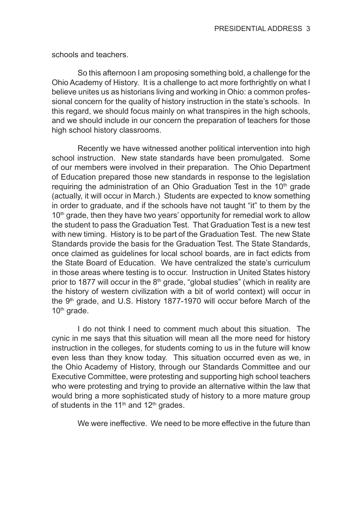schools and teachers.

So this afternoon I am proposing something bold, a challenge for the Ohio Academy of History. It is a challenge to act more forthrightly on what I believe unites us as historians living and working in Ohio: a common professional concern for the quality of history instruction in the state's schools. In this regard, we should focus mainly on what transpires in the high schools, and we should include in our concern the preparation of teachers for those high school history classrooms.

Recently we have witnessed another political intervention into high school instruction. New state standards have been promulgated. Some of our members were involved in their preparation. The Ohio Department of Education prepared those new standards in response to the legislation requiring the administration of an Ohio Graduation Test in the  $10<sup>th</sup>$  grade (actually, it will occur in March.) Students are expected to know something in order to graduate, and if the schools have not taught "it" to them by the 10<sup>th</sup> grade, then they have two years' opportunity for remedial work to allow the student to pass the Graduation Test. That Graduation Test is a new test with new timing. History is to be part of the Graduation Test. The new State Standards provide the basis for the Graduation Test. The State Standards, once claimed as guidelines for local school boards, are in fact edicts from the State Board of Education. We have centralized the state's curriculum in those areas where testing is to occur. Instruction in United States history prior to 1877 will occur in the  $8<sup>th</sup>$  grade, "global studies" (which in reality are the history of western civilization with a bit of world context) will occur in the 9<sup>th</sup> grade, and U.S. History 1877-1970 will occur before March of the 10<sup>th</sup> grade.

I do not think I need to comment much about this situation. The cynic in me says that this situation will mean all the more need for history instruction in the colleges, for students coming to us in the future will know even less than they know today. This situation occurred even as we, in the Ohio Academy of History, through our Standards Committee and our Executive Committee, were protesting and supporting high school teachers who were protesting and trying to provide an alternative within the law that would bring a more sophisticated study of history to a more mature group of students in the 11<sup>th</sup> and 12<sup>th</sup> grades.

We were ineffective. We need to be more effective in the future than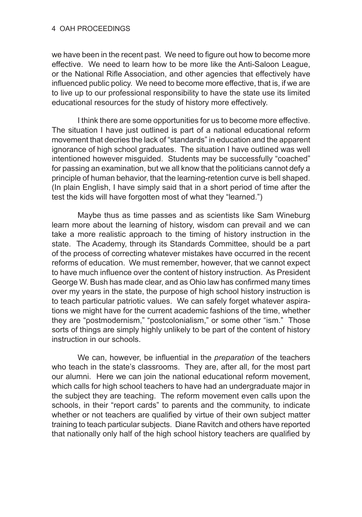we have been in the recent past. We need to figure out how to become more effective. We need to learn how to be more like the Anti-Saloon League, or the National Rifle Association, and other agencies that effectively have influenced public policy. We need to become more effective, that is, if we are to live up to our professional responsibility to have the state use its limited educational resources for the study of history more effectively.

I think there are some opportunities for us to become more effective. The situation I have just outlined is part of a national educational reform movement that decries the lack of "standards" in education and the apparent ignorance of high school graduates. The situation I have outlined was well intentioned however misguided. Students may be successfully "coached" for passing an examination, but we all know that the politicians cannot defy a principle of human behavior, that the learning-retention curve is bell shaped. (In plain English, I have simply said that in a short period of time after the test the kids will have forgotten most of what they "learned.")

Maybe thus as time passes and as scientists like Sam Wineburg learn more about the learning of history, wisdom can prevail and we can take a more realistic approach to the timing of history instruction in the state. The Academy, through its Standards Committee, should be a part of the process of correcting whatever mistakes have occurred in the recent reforms of education. We must remember, however, that we cannot expect to have much influence over the content of history instruction. As President George W. Bush has made clear, and as Ohio law has confirmed many times over my years in the state, the purpose of high school history instruction is to teach particular patriotic values. We can safely forget whatever aspirations we might have for the current academic fashions of the time, whether they are "postmodernism," "postcolonialism," or some other "ism." Those sorts of things are simply highly unlikely to be part of the content of history instruction in our schools.

We can, however, be influential in the *preparation* of the teachers who teach in the state's classrooms. They are, after all, for the most part our alumni. Here we can join the national educational reform movement, which calls for high school teachers to have had an undergraduate major in the subject they are teaching. The reform movement even calls upon the schools, in their "report cards" to parents and the community, to indicate whether or not teachers are qualified by virtue of their own subject matter training to teach particular subjects. Diane Ravitch and others have reported that nationally only half of the high school history teachers are qualified by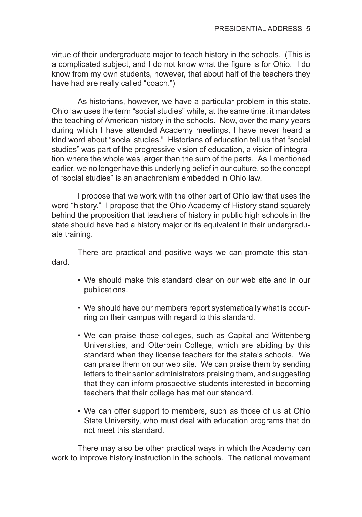virtue of their undergraduate major to teach history in the schools. (This is a complicated subject, and I do not know what the figure is for Ohio. I do know from my own students, however, that about half of the teachers they have had are really called "coach.")

As historians, however, we have a particular problem in this state. Ohio law uses the term "social studies" while, at the same time, it mandates the teaching of American history in the schools. Now, over the many years during which I have attended Academy meetings, I have never heard a kind word about "social studies." Historians of education tell us that "social studies" was part of the progressive vision of education, a vision of integration where the whole was larger than the sum of the parts. As I mentioned earlier, we no longer have this underlying belief in our culture, so the concept of "social studies" is an anachronism embedded in Ohio law.

I propose that we work with the other part of Ohio law that uses the word "history." I propose that the Ohio Academy of History stand squarely behind the proposition that teachers of history in public high schools in the state should have had a history major or its equivalent in their undergraduate training.

There are practical and positive ways we can promote this standard.

- We should make this standard clear on our web site and in our publications.
- We should have our members report systematically what is occurring on their campus with regard to this standard.
- We can praise those colleges, such as Capital and Wittenberg Universities, and Otterbein College, which are abiding by this standard when they license teachers for the state's schools. We can praise them on our web site. We can praise them by sending letters to their senior administrators praising them, and suggesting that they can inform prospective students interested in becoming teachers that their college has met our standard.
- We can offer support to members, such as those of us at Ohio State University, who must deal with education programs that do not meet this standard.

There may also be other practical ways in which the Academy can work to improve history instruction in the schools. The national movement